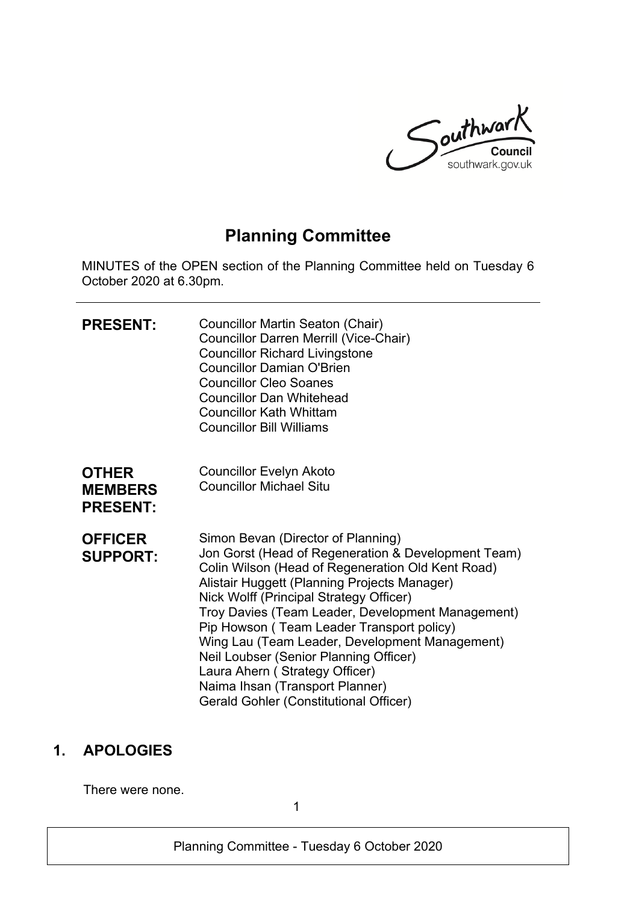

# **Planning Committee**

MINUTES of the OPEN section of the Planning Committee held on Tuesday 6 October 2020 at 6.30pm.

| <b>PRESENT:</b>                                   | Councillor Martin Seaton (Chair)<br><b>Councillor Darren Merrill (Vice-Chair)</b><br><b>Councillor Richard Livingstone</b><br><b>Councillor Damian O'Brien</b><br><b>Councillor Cleo Soanes</b><br><b>Councillor Dan Whitehead</b><br><b>Councillor Kath Whittam</b><br><b>Councillor Bill Williams</b>                                                                                                                                                                                                                                                       |
|---------------------------------------------------|---------------------------------------------------------------------------------------------------------------------------------------------------------------------------------------------------------------------------------------------------------------------------------------------------------------------------------------------------------------------------------------------------------------------------------------------------------------------------------------------------------------------------------------------------------------|
| <b>OTHER</b><br><b>MEMBERS</b><br><b>PRESENT:</b> | <b>Councillor Evelyn Akoto</b><br><b>Councillor Michael Situ</b>                                                                                                                                                                                                                                                                                                                                                                                                                                                                                              |
| <b>OFFICER</b><br><b>SUPPORT:</b>                 | Simon Bevan (Director of Planning)<br>Jon Gorst (Head of Regeneration & Development Team)<br>Colin Wilson (Head of Regeneration Old Kent Road)<br>Alistair Huggett (Planning Projects Manager)<br>Nick Wolff (Principal Strategy Officer)<br>Troy Davies (Team Leader, Development Management)<br>Pip Howson (Team Leader Transport policy)<br>Wing Lau (Team Leader, Development Management)<br>Neil Loubser (Senior Planning Officer)<br>Laura Ahern (Strategy Officer)<br>Naima Ihsan (Transport Planner)<br><b>Gerald Gohler (Constitutional Officer)</b> |

# **1. APOLOGIES**

There were none.

1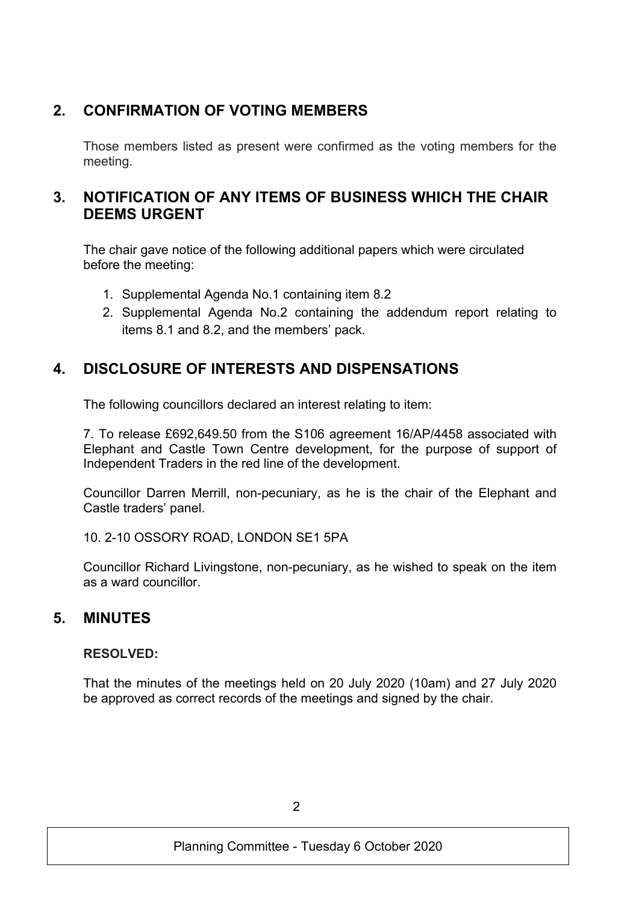# **2. CONFIRMATION OF VOTING MEMBERS**

Those members listed as present were confirmed as the voting members for the meeting.

# **3. NOTIFICATION OF ANY ITEMS OF BUSINESS WHICH THE CHAIR DEEMS URGENT**

The chair gave notice of the following additional papers which were circulated before the meeting:

- 1. Supplemental Agenda No.1 containing item 8.2
- 2. Supplemental Agenda No.2 containing the addendum report relating to items 8.1 and 8.2, and the members' pack.

# **4. DISCLOSURE OF INTERESTS AND DISPENSATIONS**

The following councillors declared an interest relating to item:

7. To release £692,649.50 from the S106 agreement 16/AP/4458 associated with Elephant and Castle Town Centre development, for the purpose of support of Independent Traders in the red line of the development.

Councillor Darren Merrill, non-pecuniary, as he is the chair of the Elephant and Castle traders' panel.

10. 2-10 OSSORY ROAD, LONDON SE1 5PA

Councillor Richard Livingstone, non-pecuniary, as he wished to speak on the item as a ward councillor.

# **5. MINUTES**

### **RESOLVED:**

That the minutes of the meetings held on 20 July 2020 (10am) and 27 July 2020 be approved as correct records of the meetings and signed by the chair.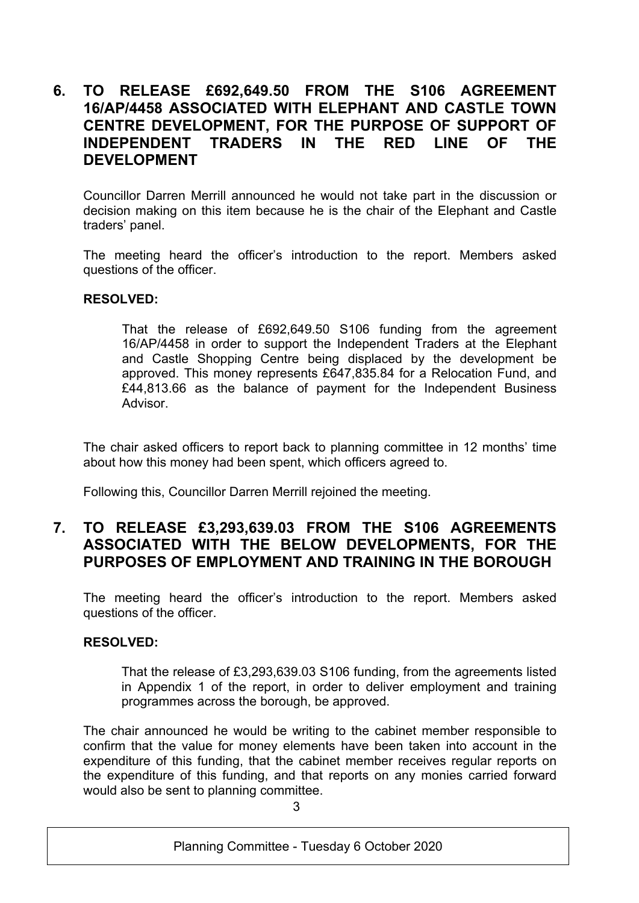## **6. TO RELEASE £692,649.50 FROM THE S106 AGREEMENT 16/AP/4458 ASSOCIATED WITH ELEPHANT AND CASTLE TOWN CENTRE DEVELOPMENT, FOR THE PURPOSE OF SUPPORT OF INDEPENDENT TRADERS IN THE RED LINE OF THE DEVELOPMENT**

Councillor Darren Merrill announced he would not take part in the discussion or decision making on this item because he is the chair of the Elephant and Castle traders' panel.

The meeting heard the officer's introduction to the report. Members asked questions of the officer.

### **RESOLVED:**

That the release of £692,649.50 S106 funding from the agreement 16/AP/4458 in order to support the Independent Traders at the Elephant and Castle Shopping Centre being displaced by the development be approved. This money represents £647,835.84 for a Relocation Fund, and £44,813.66 as the balance of payment for the Independent Business **Advisor** 

The chair asked officers to report back to planning committee in 12 months' time about how this money had been spent, which officers agreed to.

Following this, Councillor Darren Merrill rejoined the meeting.

## **7. TO RELEASE £3,293,639.03 FROM THE S106 AGREEMENTS ASSOCIATED WITH THE BELOW DEVELOPMENTS, FOR THE PURPOSES OF EMPLOYMENT AND TRAINING IN THE BOROUGH**

The meeting heard the officer's introduction to the report. Members asked questions of the officer.

#### **RESOLVED:**

That the release of £3,293,639.03 S106 funding, from the agreements listed in Appendix 1 of the report, in order to deliver employment and training programmes across the borough, be approved.

The chair announced he would be writing to the cabinet member responsible to confirm that the value for money elements have been taken into account in the expenditure of this funding, that the cabinet member receives regular reports on the expenditure of this funding, and that reports on any monies carried forward would also be sent to planning committee.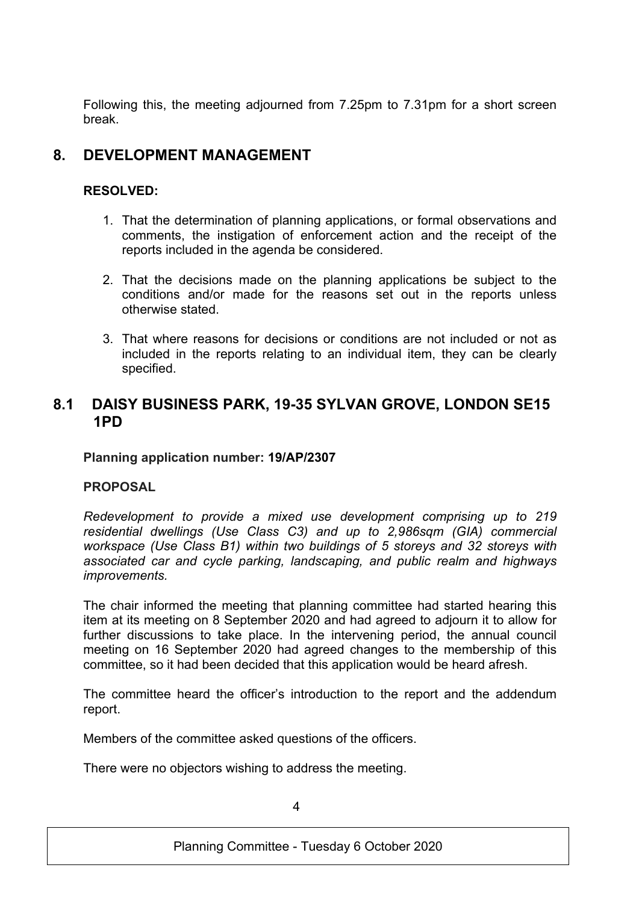Following this, the meeting adjourned from 7.25pm to 7.31pm for a short screen break.

# **8. DEVELOPMENT MANAGEMENT**

### **RESOLVED:**

- 1. That the determination of planning applications, or formal observations and comments, the instigation of enforcement action and the receipt of the reports included in the agenda be considered.
- 2. That the decisions made on the planning applications be subject to the conditions and/or made for the reasons set out in the reports unless otherwise stated.
- 3. That where reasons for decisions or conditions are not included or not as included in the reports relating to an individual item, they can be clearly specified.

## **8.1 DAISY BUSINESS PARK, 19-35 SYLVAN GROVE, LONDON SE15 1PD**

**Planning application number: 19/AP/2307**

### **PROPOSAL**

*Redevelopment to provide a mixed use development comprising up to 219 residential dwellings (Use Class C3) and up to 2,986sqm (GIA) commercial workspace (Use Class B1) within two buildings of 5 storeys and 32 storeys with associated car and cycle parking, landscaping, and public realm and highways improvements.*

The chair informed the meeting that planning committee had started hearing this item at its meeting on 8 September 2020 and had agreed to adjourn it to allow for further discussions to take place. In the intervening period, the annual council meeting on 16 September 2020 had agreed changes to the membership of this committee, so it had been decided that this application would be heard afresh.

The committee heard the officer's introduction to the report and the addendum report.

Members of the committee asked questions of the officers.

There were no objectors wishing to address the meeting.

4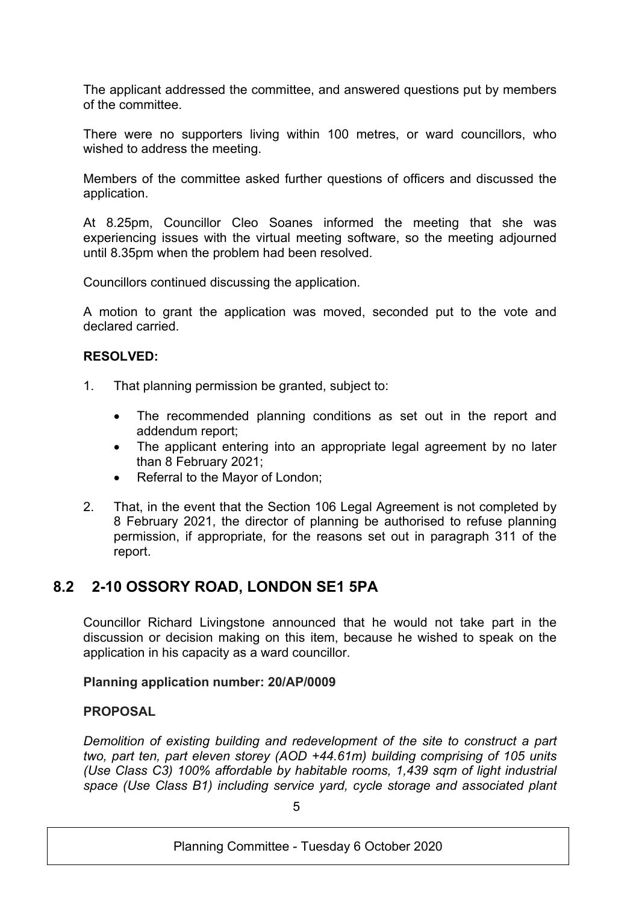The applicant addressed the committee, and answered questions put by members of the committee.

There were no supporters living within 100 metres, or ward councillors, who wished to address the meeting.

Members of the committee asked further questions of officers and discussed the application.

At 8.25pm, Councillor Cleo Soanes informed the meeting that she was experiencing issues with the virtual meeting software, so the meeting adjourned until 8.35pm when the problem had been resolved.

Councillors continued discussing the application.

A motion to grant the application was moved, seconded put to the vote and declared carried.

### **RESOLVED:**

- 1. That planning permission be granted, subject to:
	- The recommended planning conditions as set out in the report and addendum report;
	- The applicant entering into an appropriate legal agreement by no later than 8 February 2021;
	- Referral to the Mayor of London;
- 2. That, in the event that the Section 106 Legal Agreement is not completed by 8 February 2021, the director of planning be authorised to refuse planning permission, if appropriate, for the reasons set out in paragraph 311 of the report.

# **8.2 2-10 OSSORY ROAD, LONDON SE1 5PA**

Councillor Richard Livingstone announced that he would not take part in the discussion or decision making on this item, because he wished to speak on the application in his capacity as a ward councillor.

### **Planning application number: 20/AP/0009**

### **PROPOSAL**

*Demolition of existing building and redevelopment of the site to construct a part two, part ten, part eleven storey (AOD +44.61m) building comprising of 105 units (Use Class C3) 100% affordable by habitable rooms, 1,439 sqm of light industrial space (Use Class B1) including service yard, cycle storage and associated plant*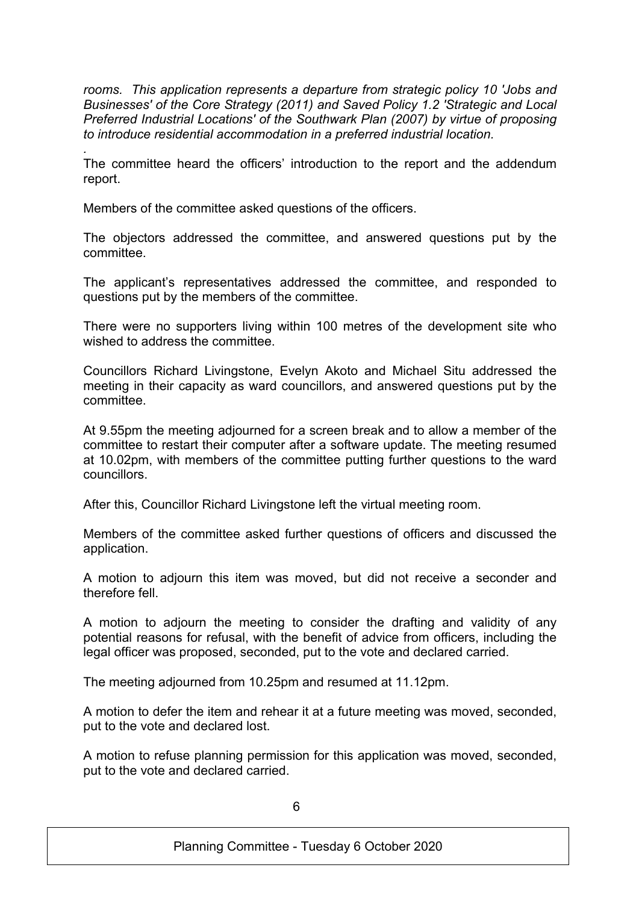*rooms. This application represents a departure from strategic policy 10 'Jobs and Businesses' of the Core Strategy (2011) and Saved Policy 1.2 'Strategic and Local Preferred Industrial Locations' of the Southwark Plan (2007) by virtue of proposing to introduce residential accommodation in a preferred industrial location.*

*.* The committee heard the officers' introduction to the report and the addendum report.

Members of the committee asked questions of the officers.

The objectors addressed the committee, and answered questions put by the committee.

The applicant's representatives addressed the committee, and responded to questions put by the members of the committee.

There were no supporters living within 100 metres of the development site who wished to address the committee.

Councillors Richard Livingstone, Evelyn Akoto and Michael Situ addressed the meeting in their capacity as ward councillors, and answered questions put by the committee.

At 9.55pm the meeting adjourned for a screen break and to allow a member of the committee to restart their computer after a software update. The meeting resumed at 10.02pm, with members of the committee putting further questions to the ward councillors.

After this, Councillor Richard Livingstone left the virtual meeting room.

Members of the committee asked further questions of officers and discussed the application.

A motion to adjourn this item was moved, but did not receive a seconder and therefore fell.

A motion to adjourn the meeting to consider the drafting and validity of any potential reasons for refusal, with the benefit of advice from officers, including the legal officer was proposed, seconded, put to the vote and declared carried.

The meeting adjourned from 10.25pm and resumed at 11.12pm.

A motion to defer the item and rehear it at a future meeting was moved, seconded, put to the vote and declared lost.

A motion to refuse planning permission for this application was moved, seconded, put to the vote and declared carried.

6